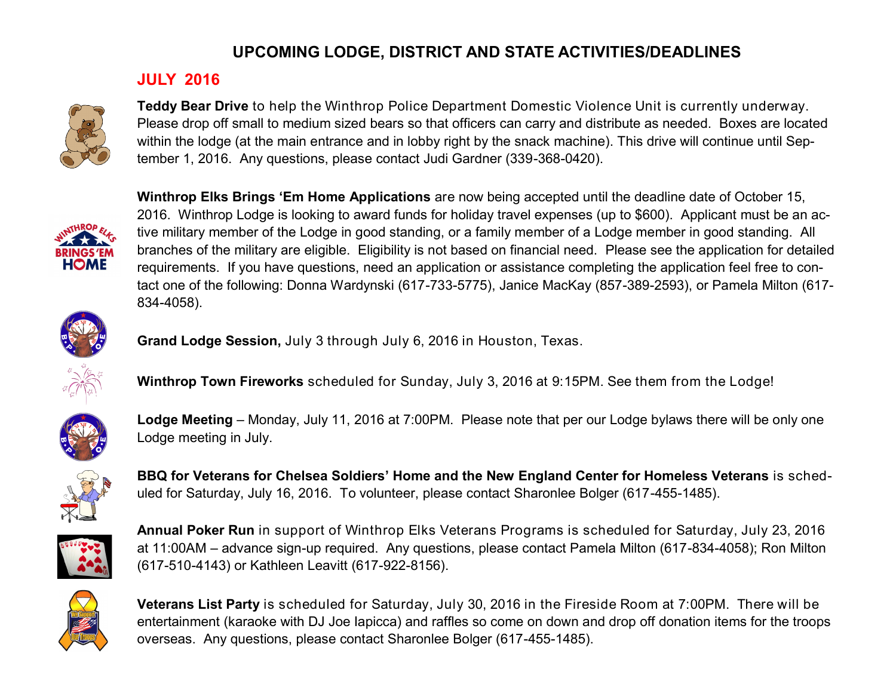#### **JULY 2016**



**Teddy Bear Drive** to help the Winthrop Police Department Domestic Violence Unit is currently underway. Please drop off small to medium sized bears so that officers can carry and distribute as needed. Boxes are located within the lodge (at the main entrance and in lobby right by the snack machine). This drive will continue until September 1, 2016. Any questions, please contact Judi Gardner (339-368-0420).



**Winthrop Elks Brings 'Em Home Applications** are now being accepted until the deadline date of October 15, 2016. Winthrop Lodge is looking to award funds for holiday travel expenses (up to \$600). Applicant must be an active military member of the Lodge in good standing, or a family member of a Lodge member in good standing. All branches of the military are eligible. Eligibility is not based on financial need. Please see the application for detailed requirements. If you have questions, need an application or assistance completing the application feel free to contact one of the following: Donna Wardynski (617-733-5775), Janice MacKay (857-389-2593), or Pamela Milton (617- 834-4058).



**Grand Lodge Session,** July 3 through July 6, 2016 in Houston, Texas.



**Winthrop Town Fireworks** scheduled for Sunday, July 3, 2016 at 9:15PM. See them from the Lodge!



**Lodge Meeting** – Monday, July 11, 2016 at 7:00PM. Please note that per our Lodge bylaws there will be only one Lodge meeting in July.



**BBQ for Veterans for Chelsea Soldiers' Home and the New England Center for Homeless Veterans** is scheduled for Saturday, July 16, 2016. To volunteer, please contact Sharonlee Bolger (617-455-1485).



**Annual Poker Run** in support of Winthrop Elks Veterans Programs is scheduled for Saturday, July 23, 2016 at 11:00AM – advance sign-up required. Any questions, please contact Pamela Milton (617-834-4058); Ron Milton (617-510-4143) or Kathleen Leavitt (617-922-8156).



**Veterans List Party** is scheduled for Saturday, July 30, 2016 in the Fireside Room at 7:00PM. There will be entertainment (karaoke with DJ Joe Iapicca) and raffles so come on down and drop off donation items for the troops overseas. Any questions, please contact Sharonlee Bolger (617-455-1485).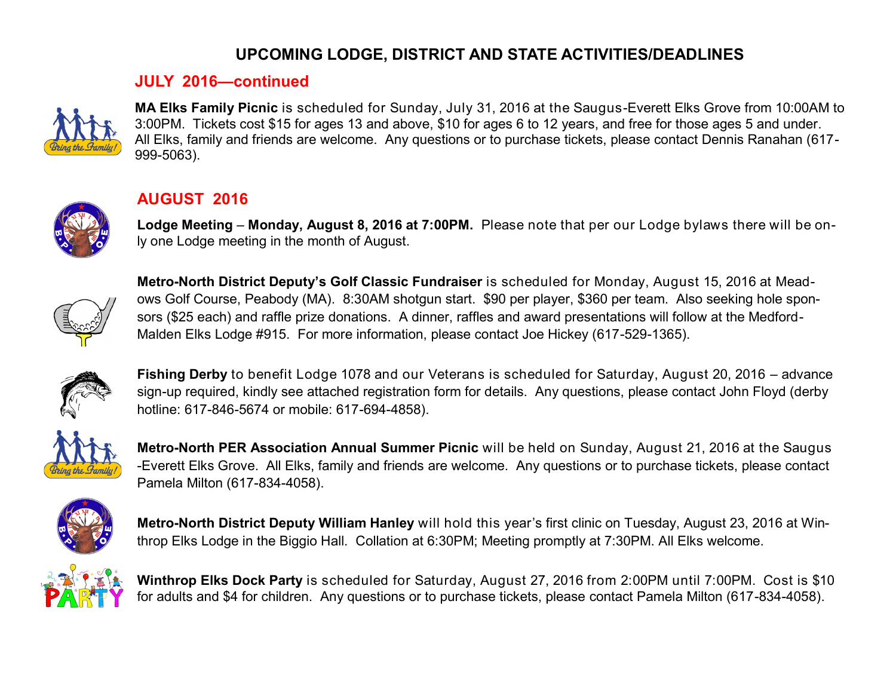#### **JULY 2016—continued**



**MA Elks Family Picnic** is scheduled for Sunday, July 31, 2016 at the Saugus-Everett Elks Grove from 10:00AM to 3:00PM. Tickets cost \$15 for ages 13 and above, \$10 for ages 6 to 12 years, and free for those ages 5 and under. All Elks, family and friends are welcome. Any questions or to purchase tickets, please contact Dennis Ranahan (617- 999-5063).



### **AUGUST 2016**

**Lodge Meeting** – **Monday, August 8, 2016 at 7:00PM.** Please note that per our Lodge bylaws there will be only one Lodge meeting in the month of August.



**Metro-North District Deputy's Golf Classic Fundraiser** is scheduled for Monday, August 15, 2016 at Meadows Golf Course, Peabody (MA). 8:30AM shotgun start. \$90 per player, \$360 per team. Also seeking hole sponsors (\$25 each) and raffle prize donations. A dinner, raffles and award presentations will follow at the Medford-Malden Elks Lodge #915. For more information, please contact Joe Hickey (617-529-1365).



**Fishing Derby** to benefit Lodge 1078 and our Veterans is scheduled for Saturday, August 20, 2016 – advance sign-up required, kindly see attached registration form for details. Any questions, please contact John Floyd (derby hotline: 617-846-5674 or mobile: 617-694-4858).



**Metro-North PER Association Annual Summer Picnic** will be held on Sunday, August 21, 2016 at the Saugus -Everett Elks Grove. All Elks, family and friends are welcome. Any questions or to purchase tickets, please contact Pamela Milton (617-834-4058).



**Metro-North District Deputy William Hanley** will hold this year's first clinic on Tuesday, August 23, 2016 at Winthrop Elks Lodge in the Biggio Hall. Collation at 6:30PM; Meeting promptly at 7:30PM. All Elks welcome.



**Winthrop Elks Dock Party** is scheduled for Saturday, August 27, 2016 from 2:00PM until 7:00PM. Cost is \$10 for adults and \$4 for children. Any questions or to purchase tickets, please contact Pamela Milton (617-834-4058).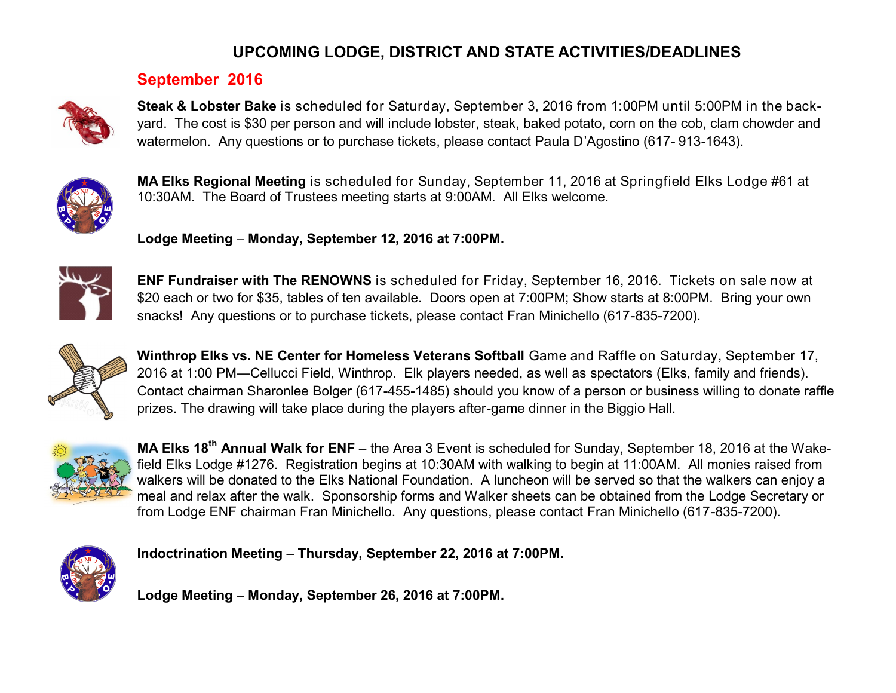#### **September 2016**



**Steak & Lobster Bake** is scheduled for Saturday, September 3, 2016 from 1:00PM until 5:00PM in the backyard. The cost is \$30 per person and will include lobster, steak, baked potato, corn on the cob, clam chowder and watermelon. Any questions or to purchase tickets, please contact Paula D'Agostino (617- 913-1643).



**MA Elks Regional Meeting** is scheduled for Sunday, September 11, 2016 at Springfield Elks Lodge #61 at 10:30AM. The Board of Trustees meeting starts at 9:00AM. All Elks welcome.

**Lodge Meeting** – **Monday, September 12, 2016 at 7:00PM.**



**ENF Fundraiser with The RENOWNS** is scheduled for Friday, September 16, 2016. Tickets on sale now at \$20 each or two for \$35, tables of ten available. Doors open at 7:00PM; Show starts at 8:00PM. Bring your own snacks! Any questions or to purchase tickets, please contact Fran Minichello (617-835-7200).



**Winthrop Elks vs. NE Center for Homeless Veterans Softball** Game and Raffle on Saturday, September 17, 2016 at 1:00 PM—Cellucci Field, Winthrop. Elk players needed, as well as spectators (Elks, family and friends). Contact chairman Sharonlee Bolger (617-455-1485) should you know of a person or business willing to donate raffle prizes. The drawing will take place during the players after-game dinner in the Biggio Hall.



**MA Elks 18th Annual Walk for ENF** – the Area 3 Event is scheduled for Sunday, September 18, 2016 at the Wakefield Elks Lodge #1276. Registration begins at 10:30AM with walking to begin at 11:00AM. All monies raised from walkers will be donated to the Elks National Foundation. A luncheon will be served so that the walkers can enjoy a meal and relax after the walk. Sponsorship forms and Walker sheets can be obtained from the Lodge Secretary or from Lodge ENF chairman Fran Minichello. Any questions, please contact Fran Minichello (617-835-7200).



**Indoctrination Meeting** – **Thursday, September 22, 2016 at 7:00PM.**

**Lodge Meeting** – **Monday, September 26, 2016 at 7:00PM.**